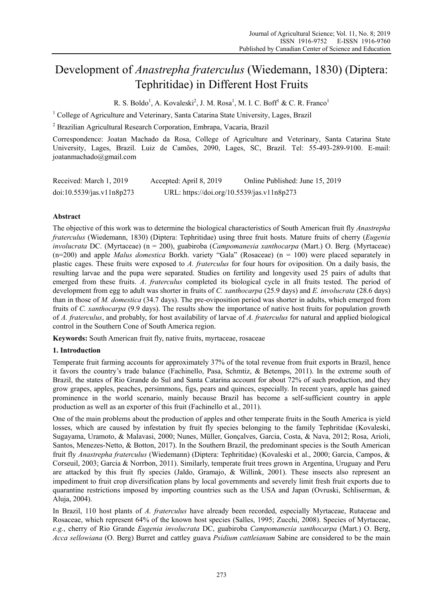# Development of *Anastrepha fraterculus* (Wiedemann, 1830) (Diptera: Tephritidae) in Different Host Fruits

R. S. Boldo<sup>1</sup>, A. Kovaleski<sup>2</sup>, J. M. Rosa<sup>1</sup>, M. I. C. Boff<sup>1</sup> & C. R. Franco<sup>1</sup>

<sup>1</sup> College of Agriculture and Veterinary, Santa Catarina State University, Lages, Brazil

2 Brazilian Agricultural Research Corporation, Embrapa, Vacaria, Brazil

Correspondence: Joatan Machado da Rosa, College of Agriculture and Veterinary, Santa Catarina State University, Lages, Brazil. Luiz de Camões, 2090, Lages, SC, Brazil. Tel: 55-493-289-9100. E-mail: joatanmachado@gmail.com

| Received: March 1, 2019   | Accepted: April 8, 2019                    | Online Published: June 15, 2019 |
|---------------------------|--------------------------------------------|---------------------------------|
| doi:10.5539/jas.v11n8p273 | URL: https://doi.org/10.5539/jas.v11n8p273 |                                 |

## **Abstract**

The objective of this work was to determine the biological characteristics of South American fruit fly *Anastrepha fraterculus* (Wiedemann, 1830) (Diptera: Tephritidae) using three fruit hosts. Mature fruits of cherry (*Eugenia involucrata* DC. (Myrtaceae) (n = 200), guabiroba (*Campomanesia xanthocarpa* (Mart.) O. Berg*.* (Myrtaceae) (n=200) and apple *Malus domestica* Borkh. variety "Gala" (Rosaceae) (n = 100) were placed separately in plastic cages. These fruits were exposed to *A. fraterculus* for four hours for oviposition. On a daily basis, the resulting larvae and the pupa were separated. Studies on fertility and longevity used 25 pairs of adults that emerged from these fruits. *A*. *fraterculus* completed its biological cycle in all fruits tested. The period of development from egg to adult was shorter in fruits of *C. xanthocarpa* (25.9 days) and *E. involucrata* (28.6 days) than in those of *M. domestica* (34.7 days). The pre-oviposition period was shorter in adults, which emerged from fruits of *C. xanthocarpa* (9.9 days). The results show the importance of native host fruits for population growth of *A. fraterculus*, and probably, for host availability of larvae of *A. fraterculus* for natural and applied biological control in the Southern Cone of South America region.

**Keywords:** South American fruit fly, native fruits, myrtaceae, rosaceae

## **1. Introduction**

Temperate fruit farming accounts for approximately 37% of the total revenue from fruit exports in Brazil, hence it favors the country's trade balance (Fachinello, Pasa, Schmtiz, & Betemps, 2011). In the extreme south of Brazil, the states of Rio Grande do Sul and Santa Catarina account for about 72% of such production, and they grow grapes, apples, peaches, persimmons, figs, pears and quinces, especially. In recent years, apple has gained prominence in the world scenario, mainly because Brazil has become a self-sufficient country in apple production as well as an exporter of this fruit (Fachinello et al., 2011).

One of the main problems about the production of apples and other temperate fruits in the South America is yield losses, which are caused by infestation by fruit fly species belonging to the family Tephritidae (Kovaleski, Sugayama, Uramoto, & Malavasi, 2000; Nunes, Müller, Gonçalves, Garcia, Costa, & Nava, 2012; Rosa, Arioli, Santos, Menezes-Netto, & Botton, 2017). In the Southern Brazil, the predominant species is the South American fruit fly *Anastrepha fraterculus* (Wiedemann) (Diptera: Tephritidae) (Kovaleski et al., 2000; Garcia, Campos, & Corseuil, 2003; Garcia & Norrbon, 2011). Similarly, temperate fruit trees grown in Argentina, Uruguay and Peru are attacked by this fruit fly species (Jaldo, Gramajo, & Willink, 2001). These insects also represent an impediment to fruit crop diversification plans by local governments and severely limit fresh fruit exports due to quarantine restrictions imposed by importing countries such as the USA and Japan (Ovruski, Schliserman, & Aluja, 2004).

In Brazil, 110 host plants of *A. fraterculus* have already been recorded, especially Myrtaceae, Rutaceae and Rosaceae, which represent 64% of the known host species (Salles, 1995; Zucchi, 2008). Species of Myrtaceae, *e.g.*, cherry of Rio Grande *Eugenia involucrata* DC, guabiroba *Campomanesia xanthocarpa* (Mart.) O. Berg, *Acca sellowiana* (O. Berg) Burret and cattley guava *Psidium cattleianum* Sabine are considered to be the main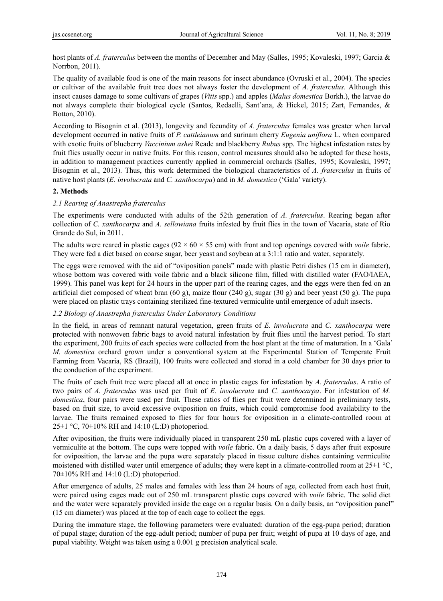host plants of *A. fraterculus* between the months of December and May (Salles, 1995; Kovaleski, 1997; Garcia & Norrbon, 2011).

The quality of available food is one of the main reasons for insect abundance (Ovruski et al., 2004). The species or cultivar of the available fruit tree does not always foster the development of *A. fraterculus*. Although this insect causes damage to some cultivars of grapes (*Vitis* spp.) and apples (*Malus domestica* Borkh.), the larvae do not always complete their biological cycle (Santos, Redaelli, Sant'ana, & Hickel, 2015; Zart, Fernandes, & Botton, 2010).

According to Bisognin et al. (2013), longevity and fecundity of *A. fraterculus* females was greater when larval development occurred in native fruits of *P. cattleianum* and surinam cherry *Eugenia uniflora* L. when compared with exotic fruits of blueberry *Vaccinium ashei* Reade and blackberry *Rubus* spp. The highest infestation rates by fruit flies usually occur in native fruits. For this reason, control measures should also be adopted for these hosts, in addition to management practices currently applied in commercial orchards (Salles, 1995; Kovaleski, 1997; Bisognin et al., 2013). Thus, this work determined the biological characteristics of *A. fraterculus* in fruits of native host plants (*E. involucrata* and *C. xanthocarpa*) and in *M. domestica* ('Gala' variety).

## **2. Methods**

## *2.1 Rearing of Anastrepha fraterculus*

The experiments were conducted with adults of the 52th generation of *A. fraterculus*. Rearing began after collection of *C. xanthocarpa* and *A. sellowiana* fruits infested by fruit flies in the town of Vacaria, state of Rio Grande do Sul, in 2011.

The adults were reared in plastic cages ( $92 \times 60 \times 55$  cm) with front and top openings covered with *voile* fabric. They were fed a diet based on coarse sugar, beer yeast and soybean at a 3:1:1 ratio and water, separately.

The eggs were removed with the aid of "oviposition panels" made with plastic Petri dishes (15 cm in diameter), whose bottom was covered with voile fabric and a black silicone film, filled with distilled water (FAO/IAEA, 1999). This panel was kept for 24 hours in the upper part of the rearing cages, and the eggs were then fed on an artificial diet composed of wheat bran (60 g), maize flour (240 g), sugar (30 g) and beer yeast (50 g). The pupa were placed on plastic trays containing sterilized fine-textured vermiculite until emergence of adult insects.

## *2.2 Biology of Anastrepha fraterculus Under Laboratory Conditions*

In the field, in areas of remnant natural vegetation, green fruits of *E. involucrata* and *C. xanthocarpa* were protected with nonwoven fabric bags to avoid natural infestation by fruit flies until the harvest period. To start the experiment, 200 fruits of each species were collected from the host plant at the time of maturation. In a 'Gala' *M. domestica* orchard grown under a conventional system at the Experimental Station of Temperate Fruit Farming from Vacaria, RS (Brazil), 100 fruits were collected and stored in a cold chamber for 30 days prior to the conduction of the experiment.

The fruits of each fruit tree were placed all at once in plastic cages for infestation by *A. fraterculus*. A ratio of two pairs of *A. fraterculus* was used per fruit of *E. involucrata* and *C. xanthocarpa*. For infestation of *M. domestica*, four pairs were used per fruit. These ratios of flies per fruit were determined in preliminary tests, based on fruit size, to avoid excessive oviposition on fruits, which could compromise food availability to the larvae. The fruits remained exposed to flies for four hours for oviposition in a climate-controlled room at  $25\pm1$  °C,  $70\pm10\%$  RH and 14:10 (L:D) photoperiod.

After oviposition, the fruits were individually placed in transparent 250 mL plastic cups covered with a layer of vermiculite at the bottom. The cups were topped with *voile* fabric. On a daily basis, 5 days after fruit exposure for oviposition, the larvae and the pupa were separately placed in tissue culture dishes containing vermiculite moistened with distilled water until emergence of adults; they were kept in a climate-controlled room at 25±1 °C,  $70\pm10\%$  RH and 14:10 (L:D) photoperiod.

After emergence of adults, 25 males and females with less than 24 hours of age, collected from each host fruit, were paired using cages made out of 250 mL transparent plastic cups covered with *voile* fabric. The solid diet and the water were separately provided inside the cage on a regular basis. On a daily basis, an "oviposition panel" (15 cm diameter) was placed at the top of each cage to collect the eggs.

During the immature stage, the following parameters were evaluated: duration of the egg-pupa period; duration of pupal stage; duration of the egg-adult period; number of pupa per fruit; weight of pupa at 10 days of age, and pupal viability. Weight was taken using a 0.001 g precision analytical scale.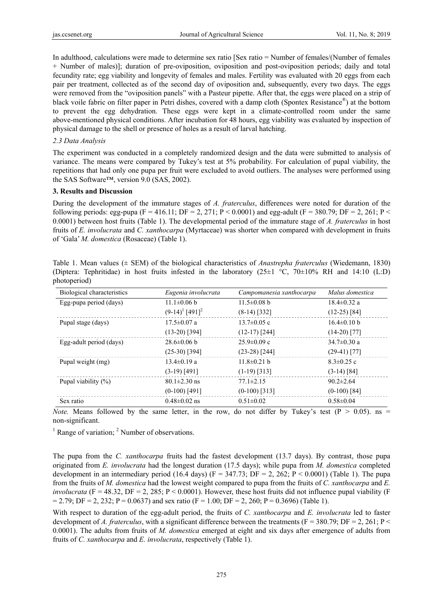In adulthood, calculations were made to determine sex ratio [Sex ratio = Number of females/(Number of females + Number of males)]; duration of pre-oviposition, oviposition and post-oviposition periods; daily and total fecundity rate; egg viability and longevity of females and males. Fertility was evaluated with 20 eggs from each pair per treatment, collected as of the second day of oviposition and, subsequently, every two days. The eggs were removed from the "oviposition panels" with a Pasteur pipette. After that, the eggs were placed on a strip of black voile fabric on filter paper in Petri dishes, covered with a damp cloth (Spontex Resistance<sup>®</sup>) at the bottom to prevent the egg dehydration. These eggs were kept in a climate-controlled room under the same above-mentioned physical conditions. After incubation for 48 hours, egg viability was evaluated by inspection of physical damage to the shell or presence of holes as a result of larval hatching.

## *2.3 Data Analysis*

The experiment was conducted in a completely randomized design and the data were submitted to analysis of variance. The means were compared by Tukey's test at 5% probability. For calculation of pupal viability, the repetitions that had only one pupa per fruit were excluded to avoid outliers. The analyses were performed using the SAS Software™, version 9.0 (SAS, 2002).

## **3. Results and Discussion**

During the development of the immature stages of *A. fraterculus*, differences were noted for duration of the following periods: egg-pupa (F = 416.11; DF = 2, 271; P < 0.0001) and egg-adult (F = 380.79; DF = 2, 261; P < 0.0001) between host fruits (Table 1). The developmental period of the immature stage of *A. fraterculus* in host fruits of *E. involucrata* and *C. xanthocarpa* (Myrtaceae) was shorter when compared with development in fruits of 'Gala' *M. domestica* (Rosaceae) (Table 1).

|              | Table 1. Mean values ( $\pm$ SEM) of the biological characteristics of <i>Anastrepha fraterculus</i> (Wiedemann, 1830)             |  |  |  |  |  |  |  |
|--------------|------------------------------------------------------------------------------------------------------------------------------------|--|--|--|--|--|--|--|
|              | (Diptera: Tephritidae) in host fruits infested in the laboratory $(25\pm1~^{\circ}\text{C}, 70\pm10\% \text{ RH})$ and 14:10 (L:D) |  |  |  |  |  |  |  |
| photoperiod) |                                                                                                                                    |  |  |  |  |  |  |  |

| Biological characteristics | Eugenia involucrata           | Campomanesia xanthocarpa | Malus domestica   |  |
|----------------------------|-------------------------------|--------------------------|-------------------|--|
| Egg-pupa period (days)     | $11.1\pm0.06 b$               | $11.5 \pm 0.08$ b        | $18.4 \pm 0.32$ a |  |
|                            | $(9-14)^1$ [491] <sup>2</sup> | $(8-14)$ [332]           | $(12-25)$ [84]    |  |
| Pupal stage (days)         | $17.5 \pm 0.07$ a             | $13.7\pm0.05$ c          | $16.4 \pm 0.10 b$ |  |
|                            | $(13-20)$ [394]               | $(12-17)$ [244]          | $(14-20)$ [77]    |  |
| Egg-adult period (days)    | $28.6 \pm 0.06$ b             | $25.9 \pm 0.09$ c        | $34.7 \pm 0.30$ a |  |
|                            | $(25-30)$ [394]               | $(23-28)$ [244]          | $(29-41)$ [77]    |  |
| Pupal weight (mg)          | $13.4 \pm 0.19$ a             | $11.8 \pm 0.21$ b        | $8.3 \pm 0.25$ c  |  |
|                            | $(3-19)$ [491]                | $(1-19)$ [313]           | $(3-14)$ [84]     |  |
| Pupal viability $(\%)$     | $80.1 \pm 2.30$ ns            | $77.1 \pm 2.15$          | $90.2 \pm 2.64$   |  |
|                            | $(0-100)$ [491]               | $(0-100)$ [313]          | $(0-100)$ [84]    |  |
| Sex ratio                  | $0.48 \pm 0.02$ ns            | $0.51 \pm 0.02$          | $0.58 \pm 0.04$   |  |

*Note.* Means followed by the same letter, in the row, do not differ by Tukey's test  $(P > 0.05)$ . ns = non-significant.

 $<sup>1</sup>$  Range of variation;  $<sup>2</sup>$  Number of observations.</sup></sup>

The pupa from the *C. xanthocarpa* fruits had the fastest development (13.7 days). By contrast, those pupa originated from *E. involucrata* had the longest duration (17.5 days); while pupa from *M. domestica* completed development in an intermediary period (16.4 days) (F = 347.73; DF = 2, 262; P < 0.0001) (Table 1). The pupa from the fruits of *M. domestica* had the lowest weight compared to pupa from the fruits of *C. xanthocarpa* and *E. involucrata*  $(F = 48.32, DF = 2, 285, P < 0.0001)$ . However, these host fruits did not influence pupal viability (F  $= 2.79$ ; DF = 2, 232; P = 0.0637) and sex ratio (F = 1.00; DF = 2, 260; P = 0.3696) (Table 1).

With respect to duration of the egg-adult period, the fruits of *C. xanthocarpa* and *E. involucrata* led to faster development of *A. fraterculus*, with a significant difference between the treatments (F = 380.79; DF = 2, 261; P < 0.0001). The adults from fruits of *M. domestica* emerged at eight and six days after emergence of adults from fruits of *C. xanthocarpa* and *E. involucrata*, respectively (Table 1).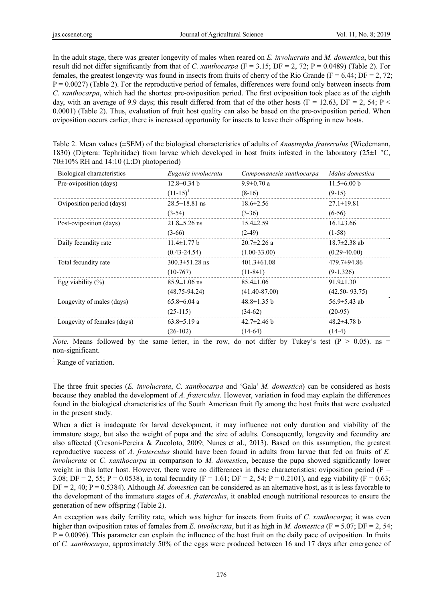In the adult stage, there was greater longevity of males when reared on *E. involucrata* and *M. domestica*, but this result did not differ significantly from that of *C. xanthocarpa* ( $F = 3.15$ ; DF = 2, 72; P = 0.0489) (Table 2). For females, the greatest longevity was found in insects from fruits of cherry of the Rio Grande ( $F = 6.44$ ; DF = 2, 72; P = 0.0027) (Table 2). For the reproductive period of females, differences were found only between insects from *C. xanthocarpa*, which had the shortest pre-oviposition period. The first oviposition took place as of the eighth day, with an average of 9.9 days; this result differed from that of the other hosts ( $F = 12.63$ ,  $DF = 2$ ,  $54$ ;  $P <$ 0.0001) (Table 2). Thus, evaluation of fruit host quality can also be based on the pre-oviposition period. When oviposition occurs earlier, there is increased opportunity for insects to leave their offspring in new hosts.

| Table 2. Mean values ( $\pm$ SEM) of the biological characteristics of adults of <i>Anastrepha fraterculus</i> (Wiedemann, |  |  |
|----------------------------------------------------------------------------------------------------------------------------|--|--|
| 1830) (Diptera: Tephritidae) from larvae which developed in host fruits infested in the laboratory (25 $\pm$ 1 °C,         |  |  |
| $70\pm10\%$ RH and 14:10 (L:D) photoperiod)                                                                                |  |  |

| Biological characteristics  | Eugenia involucrata  | Campomanesia xanthocarpa | Malus domestica    |
|-----------------------------|----------------------|--------------------------|--------------------|
| Pre-oviposition (days)      | $12.8 \pm 0.34$ b    | $9.9 \pm 0.70$ a         | $11.5\pm 6.00 b$   |
|                             | $(11-15)^1$          | $(8-16)$                 | $(9-15)$           |
| Oviposition period (days)   | $28.5 \pm 18.81$ ns  | $18.6 \pm 2.56$          | $27.1 \pm 19.81$   |
|                             | $(3-54)$             | $(3-36)$                 | $(6-56)$           |
| Post-oviposition (days)     | $21.8 \pm 5.26$ ns   | $15.4 \pm 2.59$          | $16.1 \pm 3.66$    |
|                             | $(3-66)$             | $(2-49)$                 | $(1-58)$           |
| Daily fecundity rate        | $11.4 \pm 1.77 b$    | $20.7 \pm 2.26$ a        | $18.7 \pm 2.38$ ab |
|                             | $(0.43 - 24.54)$     | $(1.00-33.00)$           | $(0.29 - 40.00)$   |
| Total fecundity rate        | $300.3 \pm 51.28$ ns | $401.3 \pm 61.08$        | $479.7 \pm 94.86$  |
|                             | $(10-767)$           | $(11-841)$               | $(9-1,326)$        |
| Egg viability $(\%)$        | $85.9 \pm 1.06$ ns   | $85.4 \pm 1.06$          | $91.9 \pm 1.30$    |
|                             | $(48.75 - 94.24)$    | $(41.40 - 87.00)$        | $(42.50 - 93.75)$  |
| Longevity of males (days)   | $65.8 \pm 6.04$ a    | $48.8 \pm 1.35$ b        | 56.9 $\pm$ 5.43 ab |
|                             | $(25-115)$           | $(34-62)$                | $(20-95)$          |
| Longevity of females (days) | $63.8 \pm 5.19$ a    | $42.7 \pm 2.46$ b        | $48.2 \pm 4.78$ b  |
|                             | $(26-102)$           | $(14-64)$                | $(14-4)$           |

*Note.* Means followed by the same letter, in the row, do not differ by Tukey's test  $(P > 0.05)$ . ns = non-significant.

<sup>1</sup> Range of variation.

The three fruit species (*E. involucrata*, *C. xanthocarpa* and 'Gala' *M. domestica*) can be considered as hosts because they enabled the development of *A. fraterculus*. However, variation in food may explain the differences found in the biological characteristics of the South American fruit fly among the host fruits that were evaluated in the present study.

When a diet is inadequate for larval development, it may influence not only duration and viability of the immature stage, but also the weight of pupa and the size of adults. Consequently, longevity and fecundity are also affected (Cresoni-Pereira & Zucoloto, 2009; Nunes et al., 2013). Based on this assumption, the greatest reproductive success of *A. fraterculus* should have been found in adults from larvae that fed on fruits of *E. involucrata* or *C. xanthocarpa* in comparison to *M. domestica*, because the pupa showed significantly lower weight in this latter host. However, there were no differences in these characteristics: oviposition period ( $F =$ 3.08; DF = 2, 55; P = 0.0538), in total fecundity (F = 1.61; DF = 2, 54; P = 0.2101), and egg viability (F = 0.63; DF = 2, 40; P = 0.5384). Although *M. domestica* can be considered as an alternative host, as it is less favorable to the development of the immature stages of *A. fraterculus*, it enabled enough nutritional resources to ensure the generation of new offspring (Table 2).

An exception was daily fertility rate, which was higher for insects from fruits of *C. xanthocarpa*; it was even higher than oviposition rates of females from *E. involucrata*, but it as high in *M. domestica* (F = 5.07; DF = 2, 54;  $P = 0.0096$ ). This parameter can explain the influence of the host fruit on the daily pace of oviposition. In fruits of *C. xanthocarpa*, approximately 50% of the eggs were produced between 16 and 17 days after emergence of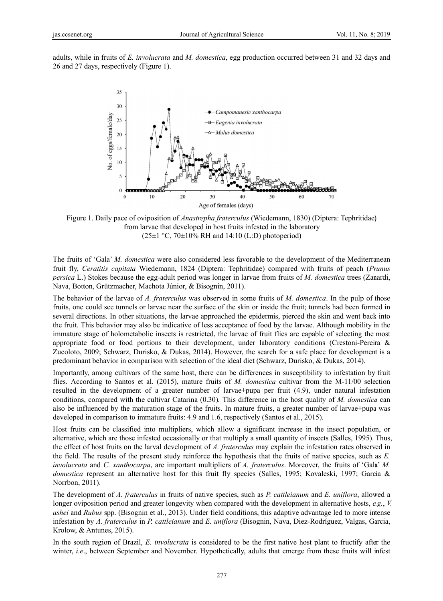adults, while in fruits of *E. involucrata* and *M. domestica*, egg production occurred between 31 and 32 days and 26 and 27 days, respectively (Figure 1).



Figure 1. Daily pace of oviposition of *Anastrepha fraterculus* (Wiedemann, 1830) (Diptera: Tephritidae) from larvae that developed in host fruits infested in the laboratory  $(25 \pm 1 \degree C, 70 \pm 10\% \text{ RH}$  and 14:10 (L:D) photoperiod)

The fruits of 'Gala' *M. domestica* were also considered less favorable to the development of the Mediterranean fruit fly, Ceratitis capitata Wiedemann, 1824 (Diptera: Tephritidae) compared with fruits of peach (*Prunus* persica L.) Stokes because the egg-adult period was longer in larvae from fruits of *M. domestica* trees (Zanardi, Nava, Botton, Grützmacher, Machota Júnior, & Bisognin, 2011).

The behavior of the larvae of *A. fraterculus* was observed in some fruits of *M. domestica*. In the pulp of those fruits, one could see tunnels or larvae near the surface of the skin or inside the fruit; tunnels had been formed in several directions. In other situations, the larvae approached the epidermis, pierced the skin and went back into the fruit. This behavior may also be indicative of less acceptance of food by the larvae. Although mobility in the immature stage of holometabolic insects is restricted, the larvae of fruit flies are capable of selecting the most appropriate food or food portions to their development, under laboratory conditions (Crestoni-Pereira  $\&$ Zucoloto, 2009; Schwarz, Durisko, & Dukas, 2014). However, the search for a safe place for development is a predominant behavior in comparison with selection of the ideal diet (Schwarz, Durisko, & Dukas, 2014).

Importantly, among cultivars of the same host, there can be differences in susceptibility to infestation by fruit flies. According to Santos et al. (2015), mature fruits of *M. domestica* cultivar from the M-11/00 selection resulted in the development of a greater number of larvae+pupa per fruit (4.9), under natural infestation conditions, compared with the cultivar Catarina (0.30). This difference in the host quality of *M. domestica* can also be influenced by the maturation stage of the fruits. In mature fruits, a greater number of larvae+pupa was developed in comparison to immature fruits: 4.9 and 1.6, respectively (Santos et al., 2015).

Host fruits can be classified into multipliers, which allow a significant increase in the insect population, or alternative, which are those infested occasionally or that multiply a small quantity of insects (Salles, 1995). Thus, the effect of host fruits on the larval development of A. fraterculus may explain the infestation rates observed in the field. The results of the present study reinforce the hypothesis that the fruits of native species, such as E. *involucrata* and *C. xanthocarpa*, are important multipliers of *A. fraterculus*. Moreover, the fruits of 'Gala' *M.* domestica represent an alternative host for this fruit fly species (Salles, 1995; Kovaleski, 1997; Garcia & Norrbon, 2 2011).

The development of *A. fraterculus* in fruits of native species, such as *P. cattleianum* and *E. uniflora*, allowed a longer oviposition period and greater longevity when compared with the development in alternative hosts, *e.g.*, *V.* ashei and Rubus spp. (Bisognin et al., 2013). Under field conditions, this adaptive advantage led to more intense infestation by *A. fraterculus* in *P. cattleianum* and *E. uniflora* (Bisognin, Nava, Diez-Rodríguez, Valgas, Garcia, Krolow, & & Antunes, 201 5).

In the south region of Brazil, *E. involucrata* is considered to be the first native host plant to fructify after the winter, *i.e.*, between September and November. Hypothetically, adults that emerge from these fruits will infest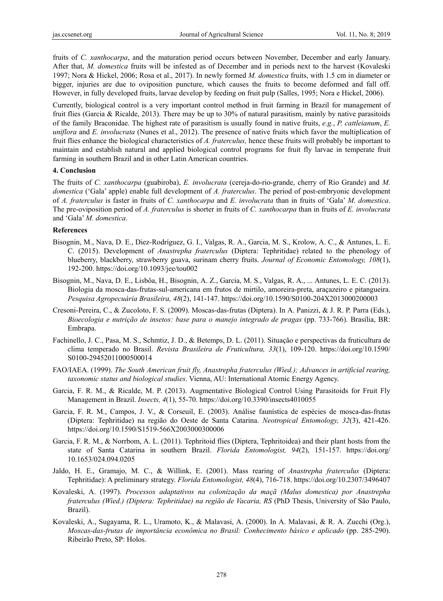fruits of *C. xanthocarpa*, and the maturation period occurs between November, December and early January. After that, *M. domestica* fruits will be infested as of December and in periods next to the harvest (Kovaleski 1997; Nora & Hickel, 2006; Rosa et al., 2017). In newly formed *M. domestica* fruits, with 1.5 cm in diameter or bigger, injuries are due to oviposition puncture, which causes the fruits to become deformed and fall off. However, in fully developed fruits, larvae develop by feeding on fruit pulp (Salles, 1995; Nora e Hickel, 2006).

Currently, biological control is a very important control method in fruit farming in Brazil for management of fruit flies (Garcia & Ricalde, 2013). There may be up to 30% of natural parasitism, mainly by native parasitoids of the family Braconidae. The highest rate of parasitism is usually found in native fruits, *e.g.*, *P. cattleianum*, *E. uniflora* and *E. involucrata* (Nunes et al., 2012). The presence of native fruits which favor the multiplication of fruit flies enhance the biological characteristics of *A. fraterculus,* hence these fruits will probably be important to maintain and establish natural and applied biological control programs for fruit fly larvae in temperate fruit farming in southern Brazil and in other Latin American countries.

#### **4. Conclusion**

The fruits of *C. xanthocarpa* (guabiroba), *E. involucrata* (cereja-do-rio-grande, cherry of Rio Grande) and *M. domestica* ('Gala' apple) enable full development of *A. fraterculus*. The period of post-embryonic development of *A. fraterculus* is faster in fruits of *C. xanthocarpa* and *E. involucrata* than in fruits of 'Gala' *M. domestica*. The pre-oviposition period of *A. fraterculus* is shorter in fruits of *C. xanthocarpa* than in fruits of *E. involucrata*  and 'Gala' *M. domestica*.

#### **References**

- Bisognin, M., Nava, D. E., Diez-Rodríguez, G. I., Valgas, R. A., Garcia, M. S., Krolow, A. C., & Antunes, L. E. C. (2015). Development of *Anastrepha fraterculus* (Diptera: Tephritidae) related to the phenology of blueberry, blackberry, strawberry guava, surinam cherry fruits. *Journal of Economic Entomology, 108*(1), 192-200. https://doi.org/10.1093/jee/tou002
- Bisognin, M., Nava, D. E., Lisbôa, H., Bisognin, A. Z., Garcia, M. S., Valgas, R. A., ... Antunes, L. E. C. (2013). Biologia da mosca-das-frutas-sul-americana em frutos de mirtilo, amoreira-preta, araçazeiro e pitangueira. *Pesquisa Agropecuária Brasileira, 48*(2), 141-147. https://doi.org/10.1590/S0100-204X2013000200003
- Cresoni-Pereira, C., & Zucoloto, F. S. (2009). Moscas-das-frutas (Diptera). In A. Panizzi, & J. R. P. Parra (Eds.), *Bioecologia e nutrição de insetos: base para o manejo integrado de pragas* (pp. 733-766)*.* Brasília, BR: Embrapa.
- Fachinello, J. C., Pasa, M. S., Schmtiz, J. D., & Betemps, D. L. (2011). Situação e perspectivas da fruticultura de clima temperado no Brasil. *Revista Brasileira de Fruticultura, 33*(1), 109-120. https://doi.org/10.1590/ S0100-29452011000500014
- FAO/IAEA. (1999). *The South American fruit fly, Anastrepha fraterculus (Wied.); Advances in artificial rearing, taxonomic status and biological studies*. Vienna, AU: International Atomic Energy Agency.
- Garcia, F. R. M., & Ricalde, M. P. (2013). Augmentative Biological Control Using Parasitoids for Fruit Fly Management in Brazil. *Insects, 4*(1), 55-70. https://doi.org/10.3390/insects4010055
- Garcia, F. R. M., Campos, J. V., & Corseuil, E. (2003). Análise faunística de espécies de mosca-das-frutas (Diptera: Tephritidae) na região do Oeste de Santa Catarina. *Neotropical Entomology, 32*(3), 421-426. https://doi.org/10.1590/S1519-566X2003000300006
- Garcia, F. R. M., & Norrbom, A. L. (2011). Tephritoid flies (Diptera, Tephritoidea) and their plant hosts from the state of Santa Catarina in southern Brazil. *Florida Entomologist, 94*(2), 151-157. https://doi.org/ 10.1653/024.094.0205
- Jaldo, H. E., Gramajo, M. C., & Willink, E. (2001). Mass rearing of *Anastrepha fraterculus* (Diptera: Tephritidae): A preliminary strategy. *Florida Entomologist, 48*(4), 716-718. https://doi.org/10.2307/3496407
- Kovaleski, A. (1997). *Processos adaptativos na colonização da maçã (Malus domestica) por Anastrepha fraterculus (Wied.) (Diptera: Tephritidae) na região de Vacaria, RS* (PhD Thesis, University of São Paulo, Brazil).
- Kovaleski, A., Sugayama, R. L., Uramoto, K., & Malavasi, A. (2000). In A. Malavasi, & R. A. Zucchi (Org.), *Moscas-das-frutas de importância econômica no Brasil: Conhecimento básico e aplicado* (pp. 285-290). Ribeirão Preto, SP: Holos.